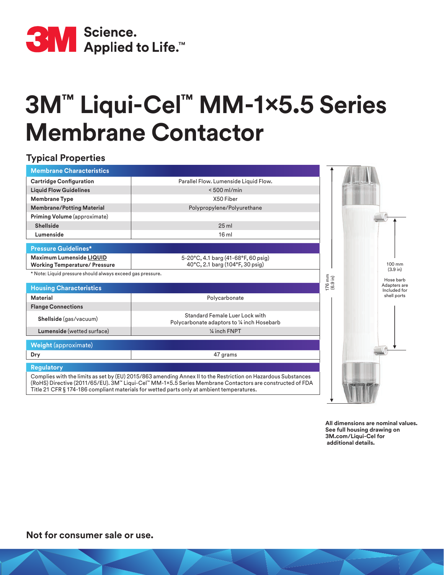

## **3M™ Liqui-Cel™ MM-1x5.5 Series Membrane Contactor**

## **Typical Properties**

| <b>Membrane Characteristics</b>                                         |                                                                                                                                                                                                                                                                                                                                                 |                                                      |
|-------------------------------------------------------------------------|-------------------------------------------------------------------------------------------------------------------------------------------------------------------------------------------------------------------------------------------------------------------------------------------------------------------------------------------------|------------------------------------------------------|
| <b>Cartridge Configuration</b>                                          | Parallel Flow. Lumenside Liquid Flow.                                                                                                                                                                                                                                                                                                           |                                                      |
| <b>Liquid Flow Guidelines</b>                                           | $< 500$ ml/min                                                                                                                                                                                                                                                                                                                                  |                                                      |
| <b>Membrane Type</b>                                                    | X50 Fiber                                                                                                                                                                                                                                                                                                                                       |                                                      |
| <b>Membrane/Potting Material</b>                                        | Polypropylene/Polyurethane                                                                                                                                                                                                                                                                                                                      |                                                      |
| Priming Volume (approximate)                                            |                                                                                                                                                                                                                                                                                                                                                 |                                                      |
| <b>Shellside</b>                                                        | 25 <sub>ml</sub>                                                                                                                                                                                                                                                                                                                                |                                                      |
| Lumenside                                                               | 16 <sub>ml</sub>                                                                                                                                                                                                                                                                                                                                |                                                      |
| <b>Pressure Guidelines*</b>                                             |                                                                                                                                                                                                                                                                                                                                                 |                                                      |
| <b>Maximum Lumenside LIQUID</b><br><b>Working Temperature/ Pressure</b> | 5-20°C, 4.1 barg (41-68°F, 60 psig)<br>40°C, 2.1 barg (104°F, 30 psig)                                                                                                                                                                                                                                                                          | $100 \text{ mm}$                                     |
| * Note: Liquid pressure should always exceed gas pressure.              |                                                                                                                                                                                                                                                                                                                                                 | $(3.9 \text{ in})$<br>Hose barb                      |
| <b>Housing Characteristics</b>                                          |                                                                                                                                                                                                                                                                                                                                                 | $176$ mm<br>(6.9 in)<br>Adapters are<br>Included for |
| <b>Material</b>                                                         | Polycarbonate                                                                                                                                                                                                                                                                                                                                   | shell ports                                          |
| <b>Flange Connections</b>                                               |                                                                                                                                                                                                                                                                                                                                                 |                                                      |
| Shellside (gas/vacuum)                                                  | <b>Standard Female Luer Lock with</b><br>Polycarbonate adaptors to 1/4 inch Hosebarb                                                                                                                                                                                                                                                            |                                                      |
| Lumenside (wetted surface)                                              | 1/4 inch FNPT                                                                                                                                                                                                                                                                                                                                   |                                                      |
| <b>Weight (approximate)</b>                                             |                                                                                                                                                                                                                                                                                                                                                 |                                                      |
| Dry                                                                     | 47 grams                                                                                                                                                                                                                                                                                                                                        |                                                      |
| <b>Regulatory</b>                                                       |                                                                                                                                                                                                                                                                                                                                                 |                                                      |
|                                                                         | Complies with the limits as set by (EU) 2015/863 amending Annex II to the Restriction on Hazardous Substances<br>(RoHS) Directive (2011/65/EU). 3M <sup>*</sup> Liqui-Cel <sup>**</sup> MM-1×5.5 Series Membrane Contactors are constructed of FDA<br>Title 21 CFR § 174-186 compliant materials for wetted parts only at ambient temperatures. |                                                      |

**All dimensions are nominal values. See full housing drawing on 3M.com/Liqui-Cel for additional details.**

**Not for consumer sale or use.**